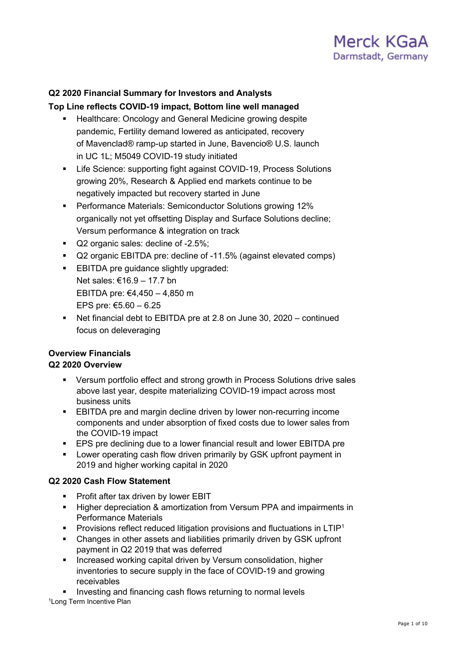

# **Q2 2020 Financial Summary for Investors and Analysts**

#### **Top Line reflects COVID-19 impact, Bottom line well managed**

- **Healthcare: Oncology and General Medicine growing despite** pandemic, Fertility demand lowered as anticipated, recovery of Mavenclad® ramp-up started in June, Bavencio® U.S. launch in UC 1L; M5049 COVID-19 study initiated
- **EXECTE:** Life Science: supporting fight against COVID-19, Process Solutions growing 20%, Research & Applied end markets continue to be negatively impacted but recovery started in June
- Performance Materials: Semiconductor Solutions growing 12% organically not yet offsetting Display and Surface Solutions decline; Versum performance & integration on track
- Q2 organic sales: decline of -2.5%;
- Q2 organic EBITDA pre: decline of -11.5% (against elevated comps)
- **EBITDA pre guidance slightly upgraded:** Net sales: €16.9 – 17.7 bn EBITDA pre: €4,450 – 4,850 m EPS pre: €5.60  $-$  6.25
- Net financial debt to EBITDA pre at 2.8 on June 30, 2020 continued focus on deleveraging

## **Overview Financials**

#### **Q2 2020 Overview**

- Versum portfolio effect and strong growth in Process Solutions drive sales above last year, despite materializing COVID-19 impact across most business units
- **EBITDA** pre and margin decline driven by lower non-recurring income components and under absorption of fixed costs due to lower sales from the COVID-19 impact
- **EPS pre declining due to a lower financial result and lower EBITDA pre**
- **EXECT:** Lower operating cash flow driven primarily by GSK upfront payment in 2019 and higher working capital in 2020

#### **Q2 2020 Cash Flow Statement**

- **Profit after tax driven by lower EBIT**
- **Higher depreciation & amortization from Versum PPA and impairments in** Performance Materials
- **Provisions reflect reduced litigation provisions and fluctuations in LTIP<sup>1</sup>**
- Changes in other assets and liabilities primarily driven by GSK upfront payment in Q2 2019 that was deferred
- **Increased working capital driven by Versum consolidation, higher in the vertual vertual vertual vertual vertual vertual vertual vertual vertual vertual vertual vertual vertual vertual vertual vertual vertual vertual vertu** inventories to secure supply in the face of COVID-19 and growing receivables
- Investing and financing cash flows returning to normal levels 1Long Term Incentive Plan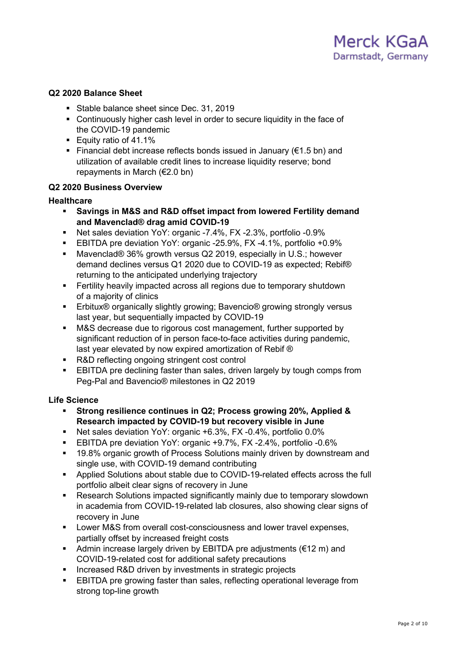#### **Q2 2020 Balance Sheet**

- Stable balance sheet since Dec. 31, 2019
- Continuously higher cash level in order to secure liquidity in the face of the COVID-19 pandemic
- **Equity ratio of 41.1%**
- Financial debt increase reflects bonds issued in January ( $\epsilon$ 1.5 bn) and utilization of available credit lines to increase liquidity reserve; bond repayments in March (€2.0 bn)

#### **Q2 2020 Business Overview**

#### **Healthcare**

- **Savings in M&S and R&D offset impact from lowered Fertility demand and Mavenclad® drag amid COVID-19**
- Net sales deviation YoY: organic -7.4%, FX -2.3%, portfolio -0.9%
- EBITDA pre deviation YoY: organic -25.9%, FX -4.1%, portfolio +0.9%
- Mavenclad® 36% growth versus Q2 2019, especially in U.S.; however demand declines versus Q1 2020 due to COVID-19 as expected; Rebif® returning to the anticipated underlying trajectory
- Fertility heavily impacted across all regions due to temporary shutdown of a majority of clinics
- Erbitux<sup>®</sup> organically slightly growing; Bavencio<sup>®</sup> growing strongly versus last year, but sequentially impacted by COVID-19
- **M&S** decrease due to rigorous cost management, further supported by significant reduction of in person face-to-face activities during pandemic, last year elevated by now expired amortization of Rebif ®
- R&D reflecting ongoing stringent cost control
- EBITDA pre declining faster than sales, driven largely by tough comps from Peg-Pal and Bavencio® milestones in Q2 2019

#### **Life Science**

- **Strong resilience continues in Q2; Process growing 20%, Applied & Research impacted by COVID-19 but recovery visible in June**
- Net sales deviation YoY: organic +6.3%, FX -0.4%, portfolio 0.0%
- EBITDA pre deviation YoY: organic +9.7%, FX -2.4%, portfolio -0.6%
- <sup>19.8%</sup> organic growth of Process Solutions mainly driven by downstream and single use, with COVID-19 demand contributing
- Applied Solutions about stable due to COVID-19-related effects across the full portfolio albeit clear signs of recovery in June
- Research Solutions impacted significantly mainly due to temporary slowdown in academia from COVID-19-related lab closures, also showing clear signs of recovery in June
- **EXECT:** Lower M&S from overall cost-consciousness and lower travel expenses, partially offset by increased freight costs
- Admin increase largely driven by EBITDA pre adjustments ( $\epsilon$ 12 m) and COVID-19-related cost for additional safety precautions
- **Increased R&D driven by investments in strategic projects**
- **EBITDA** pre growing faster than sales, reflecting operational leverage from strong top-line growth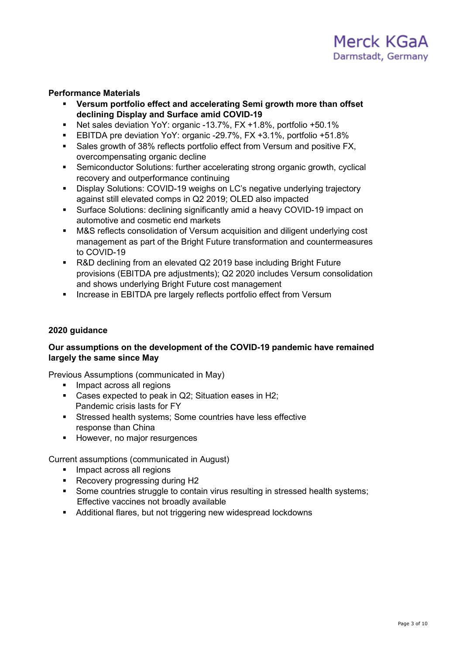#### **Performance Materials**

- **Versum portfolio effect and accelerating Semi growth more than offset declining Display and Surface amid COVID-19**
- Net sales deviation YoY: organic -13.7%, FX +1.8%, portfolio +50.1%
- EBITDA pre deviation YoY: organic -29.7%, FX +3.1%, portfolio +51.8%
- Sales growth of 38% reflects portfolio effect from Versum and positive FX, overcompensating organic decline
- Semiconductor Solutions: further accelerating strong organic growth, cyclical recovery and outperformance continuing
- Display Solutions: COVID-19 weighs on LC's negative underlying trajectory against still elevated comps in Q2 2019; OLED also impacted
- Surface Solutions: declining significantly amid a heavy COVID-19 impact on automotive and cosmetic end markets
- M&S reflects consolidation of Versum acquisition and diligent underlying cost management as part of the Bright Future transformation and countermeasures to COVID-19
- R&D declining from an elevated Q2 2019 base including Bright Future provisions (EBITDA pre adjustments); Q2 2020 includes Versum consolidation and shows underlying Bright Future cost management
- **EXEDENT Increase in EBITDA pre largely reflects portfolio effect from Versum**

#### **2020 guidance**

#### **Our assumptions on the development of the COVID-19 pandemic have remained largely the same since May**

Previous Assumptions (communicated in May)

- **Impact across all regions**
- Cases expected to peak in Q2; Situation eases in H2; Pandemic crisis lasts for FY
- Stressed health systems; Some countries have less effective response than China
- **However, no major resurgences**

Current assumptions (communicated in August)

- **Impact across all regions**
- Recovery progressing during H2
- Some countries struggle to contain virus resulting in stressed health systems; Effective vaccines not broadly available
- Additional flares, but not triggering new widespread lockdowns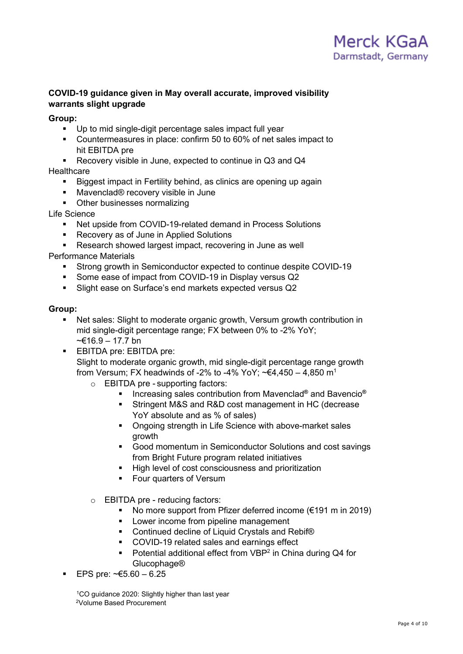#### **COVID-19 guidance given in May overall accurate, improved visibility warrants slight upgrade**

#### **Group:**

- Up to mid single-digit percentage sales impact full year
- Countermeasures in place: confirm 50 to 60% of net sales impact to hit EBITDA pre
- Recovery visible in June, expected to continue in Q3 and Q4

#### **Healthcare**

- Biggest impact in Fertility behind, as clinics are opening up again
- Mavenclad® recovery visible in June
- Other businesses normalizing

Life Science

- Net upside from COVID-19-related demand in Process Solutions
- Recovery as of June in Applied Solutions
- Research showed largest impact, recovering in June as well

Performance Materials

- Strong growth in Semiconductor expected to continue despite COVID-19
- Some ease of impact from COVID-19 in Display versus Q2
- Slight ease on Surface's end markets expected versus Q2

#### **Group:**

- Net sales: Slight to moderate organic growth, Versum growth contribution in mid single-digit percentage range; FX between 0% to -2% YoY; ~€16.9 – 17.7 bn
- **EBITDA pre: EBITDA pre:** Slight to moderate organic growth, mid single-digit percentage range growth from Versum; FX headwinds of -2% to -4% YoY;  $\leq 4.450 - 4.850$  m<sup>1</sup>
	- o EBITDA pre supporting factors:
		- Increasing sales contribution from Mavenclad<sup>®</sup> and Bavencio<sup>®</sup>
		- Stringent M&S and R&D cost management in HC (decrease YoY absolute and as % of sales)
		- **Ongoing strength in Life Science with above-market sales** growth
		- Good momentum in Semiconductor Solutions and cost savings from Bright Future program related initiatives
		- High level of cost consciousness and prioritization
		- **Four quarters of Versum**
	- o EBITDA pre reducing factors:
		- No more support from Pfizer deferred income  $(\epsilon 191 \text{ m in } 2019)$
		- **Lower income from pipeline management**
		- Continued decline of Liquid Crystals and Rebif<sup>®</sup>
		- COVID-19 related sales and earnings effect
		- **•** Potential additional effect from VBP<sup>2</sup> in China during Q4 for Glucophage®
- EPS pre: ~€5.60 6.25

<sup>1</sup>CO guidance 2020: Slightly higher than last year 2Volume Based Procurement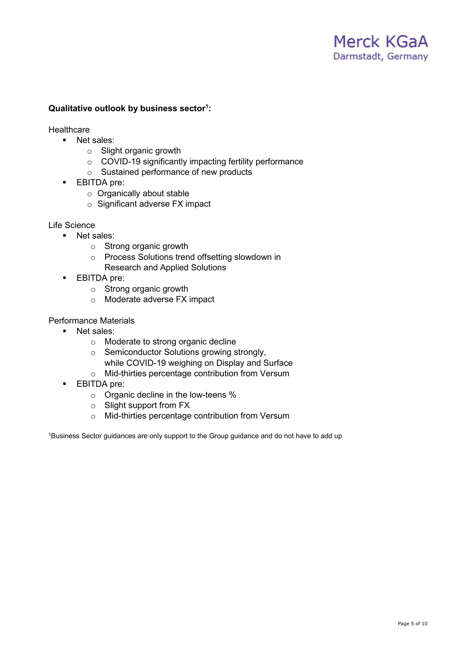# Merck KGaA Darmstadt, Germany

#### **Qualitative outlook by business sector1 :**

**Healthcare** 

- **Net sales:** 
	- o Slight organic growth
	- o COVID-19 significantly impacting fertility performance
	- o Sustained performance of new products
- **EBITDA** pre:
	- o Organically about stable
	- o Significant adverse FX impact

#### Life Science

- **Net sales:** 
	- o Strong organic growth
	- o Process Solutions trend offsetting slowdown in Research and Applied Solutions
- **EBITDA** pre:
	- o Strong organic growth
	- o Moderate adverse FX impact

#### Performance Materials

- Net sales:
	- o Moderate to strong organic decline
	- o Semiconductor Solutions growing strongly, while COVID-19 weighing on Display and Surface
	- o Mid-thirties percentage contribution from Versum
- **EBITDA** pre:
	- o Organic decline in the low-teens %
	- o Slight support from FX
	- o Mid-thirties percentage contribution from Versum

<sup>1</sup>Business Sector guidances are only support to the Group guidance and do not have to add up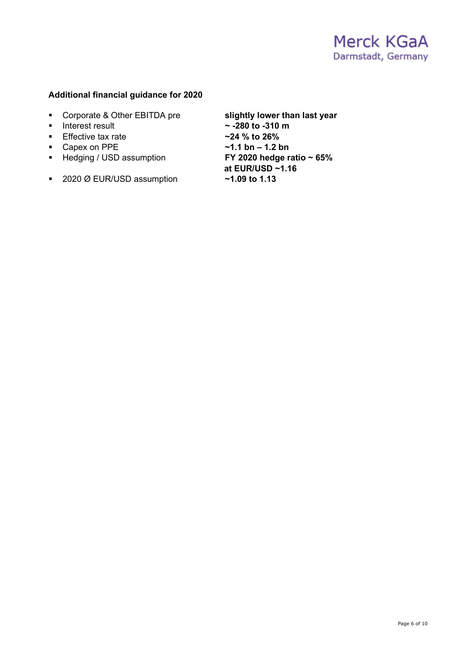#### **Additional financial guidance for 2020**

- 
- 
- **Effective tax rate**
- 
- **F** Hedging / USD assumption
- 2020 Ø EUR/USD assumption **~1.09 to 1.13**

 Corporate & Other EBITDA pre **slightly lower than last year**  $\approx$  -280 to -310 m<br> $\approx$ 24 % to 26%

■ Capex on PPE **a**<br>■ Hedging / USD assumption **1.2 bn FY 2020 hedge ratio ~ 65% at EUR/USD ~1.16**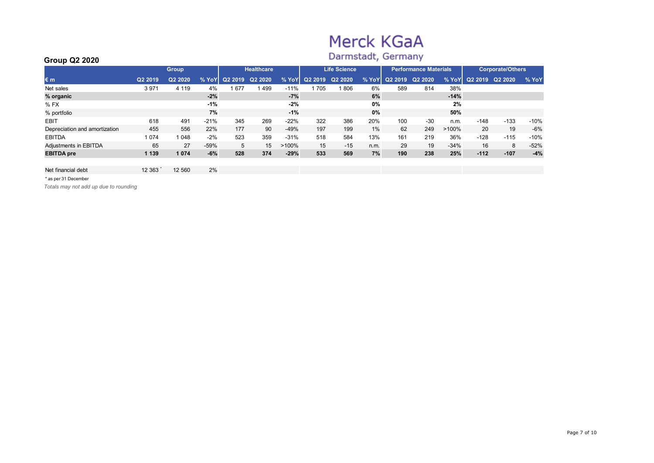# Merck KGaA

# Darmstadt, Germany

| ------------                  |         |              |        |         |                   |          |         |                     |       |        |                              |          |         |                         |        |
|-------------------------------|---------|--------------|--------|---------|-------------------|----------|---------|---------------------|-------|--------|------------------------------|----------|---------|-------------------------|--------|
|                               |         | <b>Group</b> |        |         | <b>Healthcare</b> |          |         | <b>Life Science</b> |       |        | <b>Performance Materials</b> |          |         | <b>Corporate/Others</b> |        |
| $\varepsilon$ m               | Q2 2019 | Q2 2020      | % YoY  | Q2 2019 | Q2 2020           | % YoY    | Q2 2019 | Q2 2020             | % YoY | Q22019 | Q2 2020                      | % YoY    | Q2 2019 | Q2 2020                 | % YoY  |
| Net sales                     | 3 9 7 1 | 4 1 1 9      | 4%     | 677     | 499               | $-11%$   | 705     | 806                 | 6%    | 589    | 814                          | 38%      |         |                         |        |
| % organic                     |         |              | $-2%$  |         |                   | $-7%$    |         |                     | 6%    |        |                              | $-14%$   |         |                         |        |
| $%$ FX                        |         |              | -1%    |         |                   | $-2%$    |         |                     | 0%    |        |                              | 2%       |         |                         |        |
| % portfolio                   |         |              | 7%     |         |                   | $-1%$    |         |                     | 0%    |        |                              | 50%      |         |                         |        |
| <b>EBIT</b>                   | 618     | 491          | $-21%$ | 345     | 269               | $-22%$   | 322     | 386                 | 20%   | 100    | $-30$                        | n.m.     | $-148$  | $-133$                  | $-10%$ |
| Depreciation and amortization | 455     | 556          | 22%    | 177     | 90                | $-49%$   | 197     | 199                 | 1%    | 62     | 249                          | $>100\%$ | 20      | 19                      | $-6%$  |
| <b>EBITDA</b>                 | 1 0 7 4 | 1 0 4 8      | $-2%$  | 523     | 359               | $-31%$   | 518     | 584                 | 13%   | 161    | 219                          | 36%      | $-128$  | $-115$                  | $-10%$ |
| Adjustments in EBITDA         | 65      | 27           | $-59%$ | 5       | 15                | $>100\%$ | 15      | $-15$               | n.m.  | 29     | 19                           | $-34%$   | 16      | 8                       | $-52%$ |
| <b>EBITDA</b> pre             | 1 1 3 9 | 1 0 7 4      | $-6%$  | 528     | 374               | $-29%$   | 533     | 569                 | 7%    | 190    | 238                          | 25%      | $-112$  | $-107$                  | $-4%$  |
|                               |         |              |        |         |                   |          |         |                     |       |        |                              |          |         |                         |        |
| Net financial debt            | 12 3 63 | 12 560       | 2%     |         |                   |          |         |                     |       |        |                              |          |         |                         |        |

\* as per 31 December

**Group Q2 2020**

*Totals may not add up due to rounding*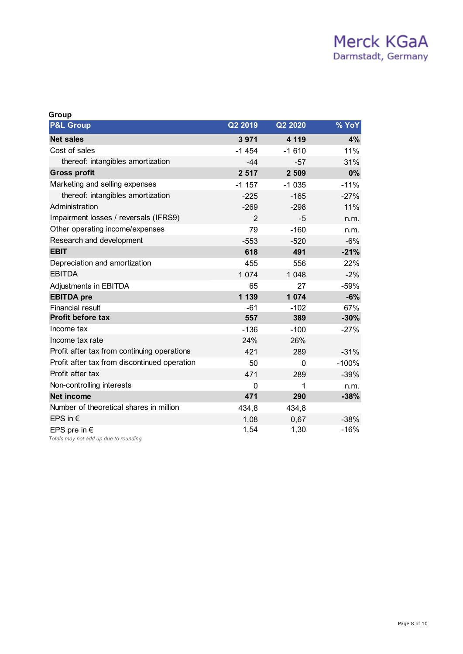| Group                                                          |                |         |         |
|----------------------------------------------------------------|----------------|---------|---------|
| <b>P&amp;L Group</b>                                           | Q2 2019        | Q2 2020 | % YoY   |
| <b>Net sales</b>                                               | 3 9 7 1        | 4 1 1 9 | 4%      |
| Cost of sales                                                  | $-1454$        | $-1610$ | 11%     |
| thereof: intangibles amortization                              | $-44$          | $-57$   | 31%     |
| <b>Gross profit</b>                                            | 2 5 1 7        | 2 5 0 9 | 0%      |
| Marketing and selling expenses                                 | $-1.157$       | $-1035$ | $-11%$  |
| thereof: intangibles amortization                              | $-225$         | $-165$  | $-27%$  |
| Administration                                                 | $-269$         | $-298$  | 11%     |
| Impairment losses / reversals (IFRS9)                          | $\overline{2}$ | -5      | n.m.    |
| Other operating income/expenses                                | 79             | $-160$  | n.m.    |
| Research and development                                       | $-553$         | $-520$  | $-6%$   |
| <b>EBIT</b>                                                    | 618            | 491     | $-21%$  |
| Depreciation and amortization                                  | 455            | 556     | 22%     |
| <b>EBITDA</b>                                                  | 1 0 7 4        | 1 0 4 8 | $-2%$   |
| Adjustments in EBITDA                                          | 65             | 27      | $-59%$  |
| <b>EBITDA</b> pre                                              | 1 139          | 1 0 7 4 | $-6%$   |
| <b>Financial result</b>                                        | $-61$          | $-102$  | 67%     |
| <b>Profit before tax</b>                                       | 557            | 389     | $-30%$  |
| Income tax                                                     | $-136$         | $-100$  | $-27%$  |
| Income tax rate                                                | 24%            | 26%     |         |
| Profit after tax from continuing operations                    | 421            | 289     | $-31%$  |
| Profit after tax from discontinued operation                   | 50             | 0       | $-100%$ |
| Profit after tax                                               | 471            | 289     | $-39%$  |
| Non-controlling interests                                      | 0              | 1       | n.m.    |
| <b>Net income</b>                                              | 471            | 290     | $-38%$  |
| Number of theoretical shares in million                        | 434,8          | 434,8   |         |
| EPS in $\epsilon$                                              | 1,08           | 0,67    | $-38%$  |
| EPS pre in $\epsilon$<br>Totals may not add up due to rounding | 1,54           | 1,30    | $-16%$  |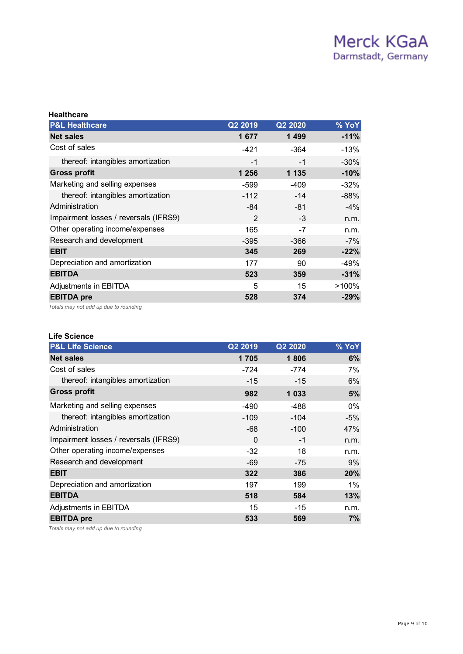| <b>Healthcare</b>                     |         |         |        |
|---------------------------------------|---------|---------|--------|
| <b>P&amp;L Healthcare</b>             | Q2 2019 | Q2 2020 | % YoY  |
| <b>Net sales</b>                      | 1677    | 1 4 9 9 | $-11%$ |
| Cost of sales                         | $-421$  | -364    | $-13%$ |
| thereof: intangibles amortization     | $-1$    | $-1$    | $-30%$ |
| <b>Gross profit</b>                   | 1 256   | 1 1 3 5 | $-10%$ |
| Marketing and selling expenses        | -599    | -409    | $-32%$ |
| thereof: intangibles amortization     | $-112$  | $-14$   | $-88%$ |
| Administration                        | -84     | -81     | $-4\%$ |
| Impairment losses / reversals (IFRS9) | 2       | $-3$    | n.m.   |
| Other operating income/expenses       | 165     | -7      | n.m.   |
| Research and development              | $-395$  | $-366$  | $-7%$  |
| <b>EBIT</b>                           | 345     | 269     | $-22%$ |
| Depreciation and amortization         | 177     | 90      | -49%   |
| <b>EBITDA</b>                         | 523     | 359     | $-31%$ |
| Adjustments in EBITDA                 | 5       | 15      | >100%  |
| <b>EBITDA</b> pre                     | 528     | 374     | $-29%$ |
|                                       |         |         |        |

*Totals may not add up due to rounding*

#### **Life Science**

| <b>P&amp;L Life Science</b>           | Q2 2019 | Q2 2020 | % YoY |
|---------------------------------------|---------|---------|-------|
| <b>Net sales</b>                      | 1705    | 1806    | 6%    |
| Cost of sales                         | $-724$  | $-774$  | 7%    |
| thereof: intangibles amortization     | $-15$   | $-15$   | 6%    |
| <b>Gross profit</b>                   | 982     | 1 0 3 3 | 5%    |
| Marketing and selling expenses        | -490    | -488    | $0\%$ |
| thereof: intangibles amortization     | $-109$  | $-104$  | $-5%$ |
| Administration                        | -68     | $-100$  | 47%   |
| Impairment losses / reversals (IFRS9) | 0       | -1      | n.m.  |
| Other operating income/expenses       | $-32$   | 18      | n.m.  |
| Research and development              | -69     | -75     | 9%    |
| <b>EBIT</b>                           | 322     | 386     | 20%   |
| Depreciation and amortization         | 197     | 199     | 1%    |
| <b>EBITDA</b>                         | 518     | 584     | 13%   |
| Adjustments in EBITDA                 | 15      | $-15$   | n.m.  |
| <b>EBITDA</b> pre                     | 533     | 569     | 7%    |

*Totals may not add up due to rounding*